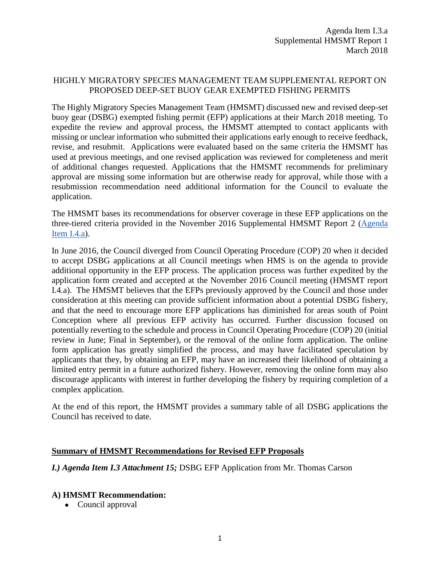## HIGHLY MIGRATORY SPECIES MANAGEMENT TEAM SUPPLEMENTAL REPORT ON PROPOSED DEEP-SET BUOY GEAR EXEMPTED FISHING PERMITS

The Highly Migratory Species Management Team (HMSMT) discussed new and revised deep-set buoy gear (DSBG) exempted fishing permit (EFP) applications at their March 2018 meeting. To expedite the review and approval process, the HMSMT attempted to contact applicants with missing or unclear information who submitted their applications early enough to receive feedback, revise, and resubmit. Applications were evaluated based on the same criteria the HMSMT has used at previous meetings, and one revised application was reviewed for completeness and merit of additional changes requested. Applications that the HMSMT recommends for preliminary approval are missing some information but are otherwise ready for approval, while those with a resubmission recommendation need additional information for the Council to evaluate the application.

The HMSMT bases its recommendations for observer coverage in these EFP applications on the three-tiered criteria provided in the November 2016 Supplemental HMSMT Report 2 [\(Agenda](http://www.pcouncil.org/wp-content/uploads/2016/11/I4a_Sup_HMSMT_Rpt2_DSBG_EFPs_NOV2016BB.pdf)  [Item I.4.a\)](http://www.pcouncil.org/wp-content/uploads/2016/11/I4a_Sup_HMSMT_Rpt2_DSBG_EFPs_NOV2016BB.pdf).

In June 2016, the Council diverged from Council Operating Procedure (COP) 20 when it decided to accept DSBG applications at all Council meetings when HMS is on the agenda to provide additional opportunity in the EFP process. The application process was further expedited by the application form created and accepted at the November 2016 Council meeting (HMSMT report I.4.a). The HMSMT believes that the EFPs previously approved by the Council and those under consideration at this meeting can provide sufficient information about a potential DSBG fishery, and that the need to encourage more EFP applications has diminished for areas south of Point Conception where all previous EFP activity has occurred. Further discussion focused on potentially reverting to the schedule and process in Council Operating Procedure (COP) 20 (initial review in June; Final in September), or the removal of the online form application. The online form application has greatly simplified the process, and may have facilitated speculation by applicants that they, by obtaining an EFP, may have an increased their likelihood of obtaining a limited entry permit in a future authorized fishery. However, removing the online form may also discourage applicants with interest in further developing the fishery by requiring completion of a complex application.

At the end of this report, the HMSMT provides a summary table of all DSBG applications the Council has received to date.

## **Summary of HMSMT Recommendations for Revised EFP Proposals**

*I.) Agenda Item I.3 Attachment 15;* DSBG EFP Application from Mr. Thomas Carson

## **A) HMSMT Recommendation:**

• Council approval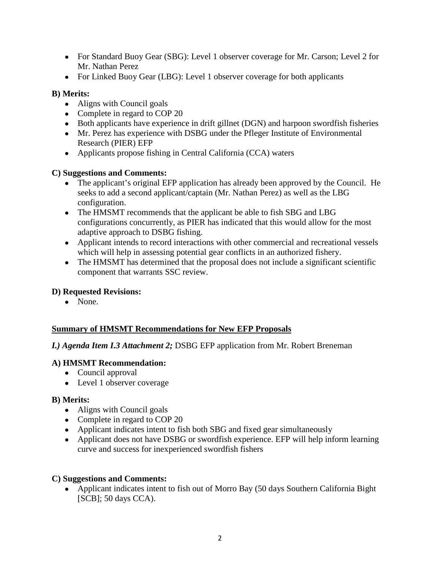- For Standard Buoy Gear (SBG): Level 1 observer coverage for Mr. Carson; Level 2 for Mr. Nathan Perez
- For Linked Buoy Gear (LBG): Level 1 observer coverage for both applicants

## **B) Merits:**

- Aligns with Council goals
- Complete in regard to COP 20
- Both applicants have experience in drift gillnet (DGN) and harpoon swordfish fisheries
- Mr. Perez has experience with DSBG under the Pfleger Institute of Environmental Research (PIER) EFP
- Applicants propose fishing in Central California (CCA) waters

## **C) Suggestions and Comments:**

- The applicant's original EFP application has already been approved by the Council. He seeks to add a second applicant/captain (Mr. Nathan Perez) as well as the LBG configuration.
- The HMSMT recommends that the applicant be able to fish SBG and LBG configurations concurrently, as PIER has indicated that this would allow for the most adaptive approach to DSBG fishing.
- Applicant intends to record interactions with other commercial and recreational vessels which will help in assessing potential gear conflicts in an authorized fishery.
- The HMSMT has determined that the proposal does not include a significant scientific component that warrants SSC review.

# **D) Requested Revisions:**

• None.

# **Summary of HMSMT Recommendations for New EFP Proposals**

## *I.) Agenda Item I.3 Attachment 2;* DSBG EFP application from Mr. Robert Breneman

## **A) HMSMT Recommendation:**

- Council approval
- Level 1 observer coverage

## **B) Merits:**

- Aligns with Council goals
- Complete in regard to COP 20
- Applicant indicates intent to fish both SBG and fixed gear simultaneously
- Applicant does not have DSBG or swordfish experience. EFP will help inform learning curve and success for inexperienced swordfish fishers

## **C) Suggestions and Comments:**

• Applicant indicates intent to fish out of Morro Bay (50 days Southern California Bight [SCB]; 50 days CCA).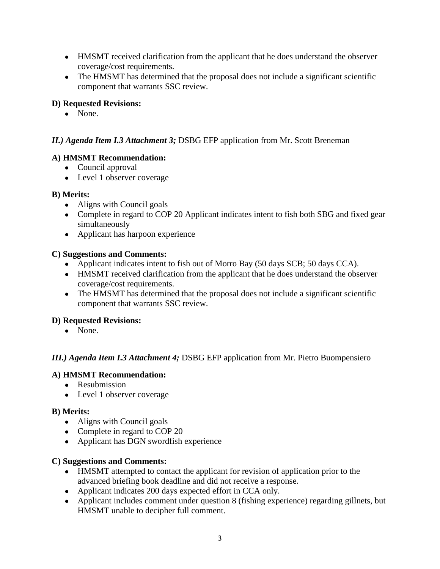- HMSMT received clarification from the applicant that he does understand the observer coverage/cost requirements.
- The HMSMT has determined that the proposal does not include a significant scientific component that warrants SSC review.

# **D) Requested Revisions:**

• None.

# *II.) Agenda Item I.3 Attachment 3;* DSBG EFP application from Mr. Scott Breneman

# **A) HMSMT Recommendation:**

- Council approval
- Level 1 observer coverage

# **B) Merits:**

- Aligns with Council goals
- Complete in regard to COP 20 Applicant indicates intent to fish both SBG and fixed gear simultaneously
- Applicant has harpoon experience

## **C) Suggestions and Comments:**

- Applicant indicates intent to fish out of Morro Bay (50 days SCB; 50 days CCA).
- HMSMT received clarification from the applicant that he does understand the observer coverage/cost requirements.
- The HMSMT has determined that the proposal does not include a significant scientific component that warrants SSC review.

# **D) Requested Revisions:**

• None.

# *III.) Agenda Item I.3 Attachment 4;* DSBG EFP application from Mr. Pietro Buompensiero

# **A) HMSMT Recommendation:**

- Resubmission
- Level 1 observer coverage

## **B) Merits:**

- Aligns with Council goals
- Complete in regard to COP 20
- Applicant has DGN swordfish experience

# **C) Suggestions and Comments:**

- HMSMT attempted to contact the applicant for revision of application prior to the advanced briefing book deadline and did not receive a response.
- Applicant indicates 200 days expected effort in CCA only.
- Applicant includes comment under question 8 (fishing experience) regarding gillnets, but HMSMT unable to decipher full comment.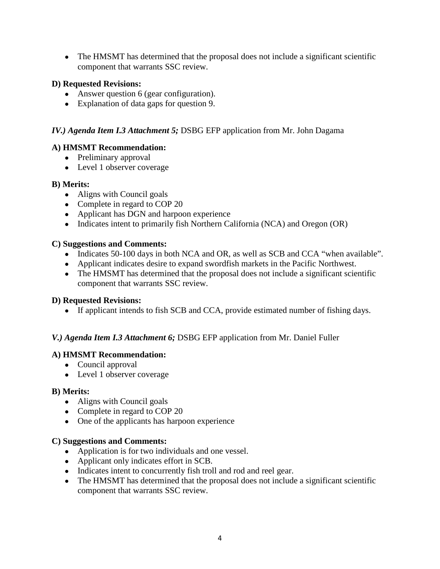• The HMSMT has determined that the proposal does not include a significant scientific component that warrants SSC review.

### **D) Requested Revisions:**

- Answer question 6 (gear configuration).
- Explanation of data gaps for question 9.

### *IV.) Agenda Item I.3 Attachment 5;* DSBG EFP application from Mr. John Dagama

### **A) HMSMT Recommendation:**

- Preliminary approval
- Level 1 observer coverage

### **B) Merits:**

- Aligns with Council goals
- Complete in regard to COP 20
- Applicant has DGN and harpoon experience
- Indicates intent to primarily fish Northern California (NCA) and Oregon (OR)

#### **C) Suggestions and Comments:**

- Indicates 50-100 days in both NCA and OR, as well as SCB and CCA "when available".
- Applicant indicates desire to expand swordfish markets in the Pacific Northwest.
- The HMSMT has determined that the proposal does not include a significant scientific component that warrants SSC review.

#### **D) Requested Revisions:**

• If applicant intends to fish SCB and CCA, provide estimated number of fishing days.

## *V.) Agenda Item I.3 Attachment 6;* DSBG EFP application from Mr. Daniel Fuller

#### **A) HMSMT Recommendation:**

- Council approval
- Level 1 observer coverage

#### **B) Merits:**

- Aligns with Council goals
- Complete in regard to COP 20
- One of the applicants has harpoon experience

#### **C) Suggestions and Comments:**

- Application is for two individuals and one vessel.
- Applicant only indicates effort in SCB.
- Indicates intent to concurrently fish troll and rod and reel gear.
- The HMSMT has determined that the proposal does not include a significant scientific component that warrants SSC review.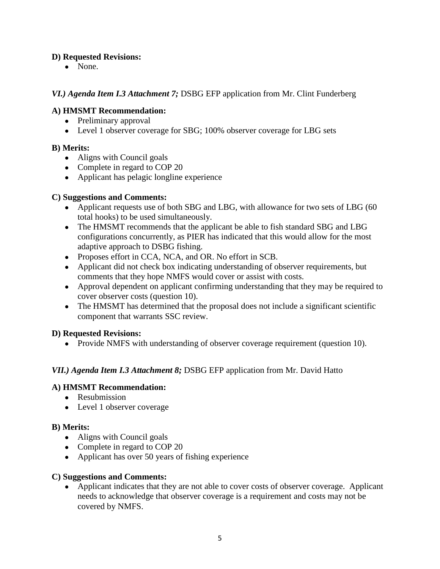## **D) Requested Revisions:**

• None.

### *VI.) Agenda Item I.3 Attachment 7;* DSBG EFP application from Mr. Clint Funderberg

### **A) HMSMT Recommendation:**

- Preliminary approval
- Level 1 observer coverage for SBG; 100% observer coverage for LBG sets

### **B) Merits:**

- Aligns with Council goals
- Complete in regard to COP 20
- Applicant has pelagic longline experience

### **C) Suggestions and Comments:**

- Applicant requests use of both SBG and LBG, with allowance for two sets of LBG (60) total hooks) to be used simultaneously.
- The HMSMT recommends that the applicant be able to fish standard SBG and LBG configurations concurrently, as PIER has indicated that this would allow for the most adaptive approach to DSBG fishing.
- Proposes effort in CCA, NCA, and OR. No effort in SCB.
- Applicant did not check box indicating understanding of observer requirements, but comments that they hope NMFS would cover or assist with costs.
- Approval dependent on applicant confirming understanding that they may be required to cover observer costs (question 10).
- The HMSMT has determined that the proposal does not include a significant scientific component that warrants SSC review.

#### **D) Requested Revisions:**

• Provide NMFS with understanding of observer coverage requirement (question 10).

## *VII.) Agenda Item I.3 Attachment 8;* DSBG EFP application from Mr. David Hatto

#### **A) HMSMT Recommendation:**

- Resubmission
- Level 1 observer coverage

#### **B) Merits:**

- Aligns with Council goals
- Complete in regard to COP 20
- Applicant has over 50 years of fishing experience

#### **C) Suggestions and Comments:**

• Applicant indicates that they are not able to cover costs of observer coverage. Applicant needs to acknowledge that observer coverage is a requirement and costs may not be covered by NMFS.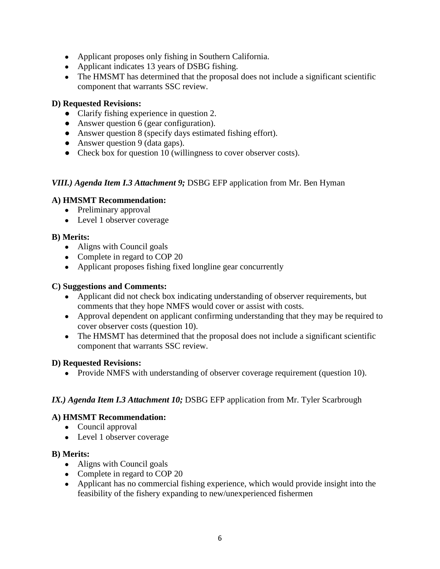- Applicant proposes only fishing in Southern California.
- Applicant indicates 13 years of DSBG fishing.
- The HMSMT has determined that the proposal does not include a significant scientific component that warrants SSC review.

## **D) Requested Revisions:**

- Clarify fishing experience in question 2.
- Answer question 6 (gear configuration).
- Answer question 8 (specify days estimated fishing effort).
- Answer question 9 (data gaps).
- Check box for question 10 (willingness to cover observer costs).

## *VIII.) Agenda Item I.3 Attachment 9;* DSBG EFP application from Mr. Ben Hyman

## **A) HMSMT Recommendation:**

- Preliminary approval
- Level 1 observer coverage

## **B) Merits:**

- Aligns with Council goals
- Complete in regard to COP 20
- Applicant proposes fishing fixed longline gear concurrently

### **C) Suggestions and Comments:**

- Applicant did not check box indicating understanding of observer requirements, but comments that they hope NMFS would cover or assist with costs.
- Approval dependent on applicant confirming understanding that they may be required to cover observer costs (question 10).
- The HMSMT has determined that the proposal does not include a significant scientific component that warrants SSC review.

#### **D) Requested Revisions:**

• Provide NMFS with understanding of observer coverage requirement (question 10).

## *IX.) Agenda Item I.3 Attachment 10; DSBG EFP application from Mr. Tyler Scarbrough*

## **A) HMSMT Recommendation:**

- Council approval
- Level 1 observer coverage

#### **B) Merits:**

- Aligns with Council goals
- Complete in regard to COP 20
- Applicant has no commercial fishing experience, which would provide insight into the feasibility of the fishery expanding to new/unexperienced fishermen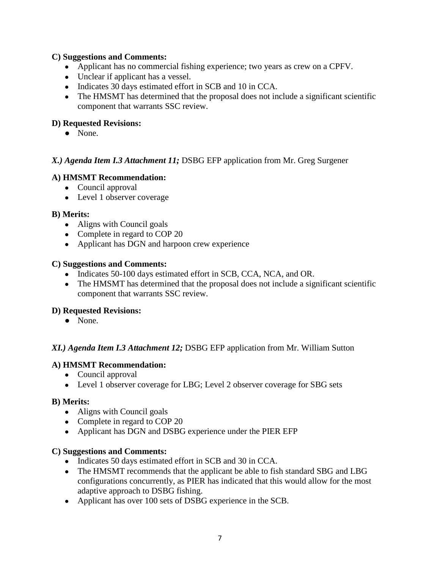### **C) Suggestions and Comments:**

- Applicant has no commercial fishing experience; two years as crew on a CPFV.
- Unclear if applicant has a vessel.
- Indicates 30 days estimated effort in SCB and 10 in CCA.
- The HMSMT has determined that the proposal does not include a significant scientific component that warrants SSC review.

### **D) Requested Revisions:**

● None.

### *X.) Agenda Item I.3 Attachment 11;* DSBG EFP application from Mr. Greg Surgener

#### **A) HMSMT Recommendation:**

- Council approval
- Level 1 observer coverage

#### **B) Merits:**

- Aligns with Council goals
- Complete in regard to COP 20
- Applicant has DGN and harpoon crew experience

#### **C) Suggestions and Comments:**

- Indicates 50-100 days estimated effort in SCB, CCA, NCA, and OR.
- The HMSMT has determined that the proposal does not include a significant scientific component that warrants SSC review.

#### **D) Requested Revisions:**

● None.

#### *XI.) Agenda Item I.3 Attachment 12;* DSBG EFP application from Mr. William Sutton

#### **A) HMSMT Recommendation:**

- Council approval
- Level 1 observer coverage for LBG; Level 2 observer coverage for SBG sets

#### **B) Merits:**

- Aligns with Council goals
- Complete in regard to COP 20
- Applicant has DGN and DSBG experience under the PIER EFP

#### **C) Suggestions and Comments:**

- Indicates 50 days estimated effort in SCB and 30 in CCA.
- The HMSMT recommends that the applicant be able to fish standard SBG and LBG configurations concurrently, as PIER has indicated that this would allow for the most adaptive approach to DSBG fishing.
- Applicant has over 100 sets of DSBG experience in the SCB.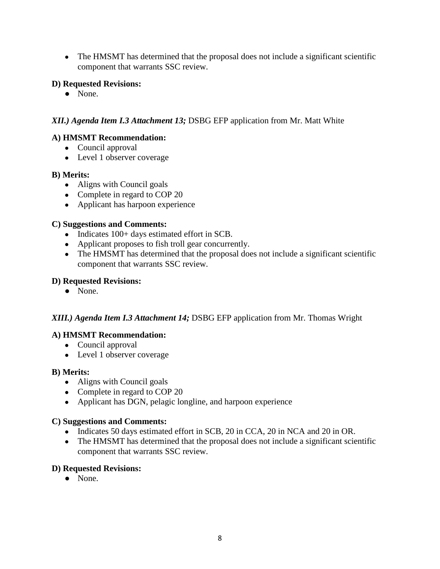• The HMSMT has determined that the proposal does not include a significant scientific component that warrants SSC review.

## **D) Requested Revisions:**

● None.

# *XII.) Agenda Item I.3 Attachment 13;* DSBG EFP application from Mr. Matt White

# **A) HMSMT Recommendation:**

- Council approval
- Level 1 observer coverage

## **B) Merits:**

- Aligns with Council goals
- Complete in regard to COP 20
- Applicant has harpoon experience

## **C) Suggestions and Comments:**

- Indicates 100+ days estimated effort in SCB.
- Applicant proposes to fish troll gear concurrently.
- The HMSMT has determined that the proposal does not include a significant scientific component that warrants SSC review.

## **D) Requested Revisions:**

● None.

## *XIII.) Agenda Item I.3 Attachment 14;* DSBG EFP application from Mr. Thomas Wright

## **A) HMSMT Recommendation:**

- Council approval
- Level 1 observer coverage

## **B) Merits:**

- Aligns with Council goals
- Complete in regard to COP 20
- Applicant has DGN, pelagic longline, and harpoon experience

## **C) Suggestions and Comments:**

- Indicates 50 days estimated effort in SCB, 20 in CCA, 20 in NCA and 20 in OR.
- The HMSMT has determined that the proposal does not include a significant scientific component that warrants SSC review.

## **D) Requested Revisions:**

● None.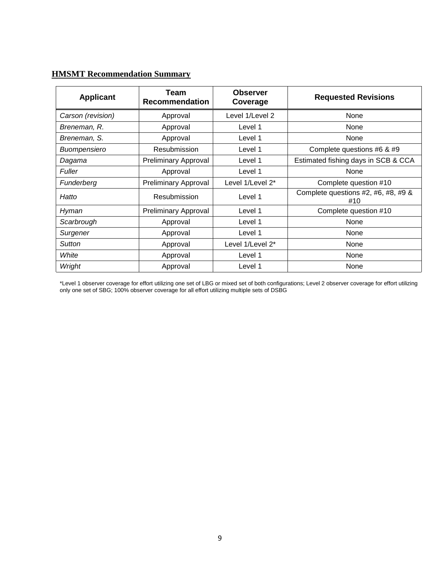# **HMSMT Recommendation Summary**

| <b>Applicant</b>  | Team<br><b>Recommendation</b> | <b>Observer</b><br>Coverage | <b>Requested Revisions</b>                 |  |  |  |
|-------------------|-------------------------------|-----------------------------|--------------------------------------------|--|--|--|
| Carson (revision) | Approval                      | Level 1/Level 2             | None                                       |  |  |  |
| Breneman, R.      | Approval                      | Level 1                     | None                                       |  |  |  |
| Breneman, S.      | Approval                      | Level 1                     | None                                       |  |  |  |
| Buompensiero      | Resubmission                  | Level 1                     | Complete questions #6 & #9                 |  |  |  |
| Dagama            | <b>Preliminary Approval</b>   | Level 1                     | Estimated fishing days in SCB & CCA        |  |  |  |
| <b>Fuller</b>     | Approval                      | Level 1                     | None                                       |  |  |  |
| Funderberg        | <b>Preliminary Approval</b>   | Level 1/Level 2*            | Complete question #10                      |  |  |  |
| Hatto             | Resubmission                  | Level 1                     | Complete questions #2, #6, #8, #9 &<br>#10 |  |  |  |
| Hyman             | <b>Preliminary Approval</b>   | Level 1                     | Complete question #10                      |  |  |  |
| Scarbrough        | Approval                      | Level 1                     | None                                       |  |  |  |
| Surgener          | Approval                      | Level 1                     | None                                       |  |  |  |
| <b>Sutton</b>     | Approval                      | Level 1/Level 2*            | None                                       |  |  |  |
| White             | Approval                      | Level 1                     | None                                       |  |  |  |
| Wright            | Approval                      | Level 1                     | None                                       |  |  |  |

\*Level 1 observer coverage for effort utilizing one set of LBG or mixed set of both configurations; Level 2 observer coverage for effort utilizing only one set of SBG; 100% observer coverage for all effort utilizing multiple sets of DSBG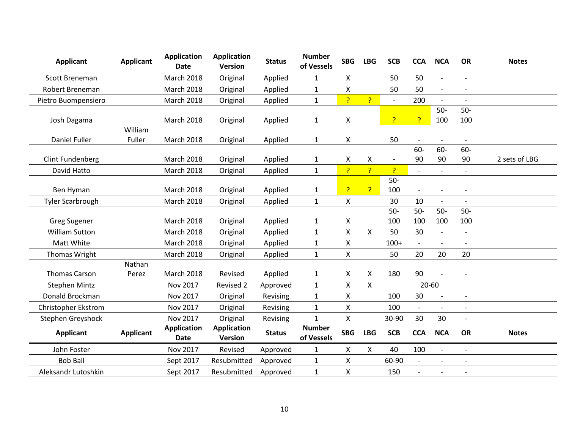| <b>Applicant</b>           | <b>Applicant</b>  | <b>Application</b><br><b>Date</b> | <b>Application</b><br>Version | <b>Status</b> | <b>Number</b><br>of Vessels | <b>SBG</b>     | <b>LBG</b>         | <b>SCB</b>               | <b>CCA</b>               | <b>NCA</b>               | <b>OR</b>                | <b>Notes</b>  |
|----------------------------|-------------------|-----------------------------------|-------------------------------|---------------|-----------------------------|----------------|--------------------|--------------------------|--------------------------|--------------------------|--------------------------|---------------|
| Scott Breneman             |                   | March 2018                        | Original                      | Applied       | $\mathbf{1}$                | X              |                    | 50                       | 50                       | $\overline{\phantom{a}}$ |                          |               |
| Robert Breneman            |                   | March 2018                        | Original                      | Applied       | $\mathbf{1}$                | X              |                    | 50                       | 50                       | $\overline{\phantom{a}}$ | $\overline{\phantom{a}}$ |               |
| Pietro Buompensiero        |                   | March 2018                        | Original                      | Applied       | $\mathbf{1}$                | P.             | $\overline{?}$     | $\overline{\phantom{a}}$ | 200                      | $\overline{a}$           |                          |               |
| Josh Dagama                |                   | <b>March 2018</b>                 | Original                      | Applied       | $\mathbf{1}$                | X              |                    | P                        | P                        | $50-$<br>100             | $50-$<br>100             |               |
| <b>Daniel Fuller</b>       | William<br>Fuller | March 2018                        | Original                      | Applied       | $\mathbf{1}$                | X              |                    | 50                       |                          |                          |                          |               |
| <b>Clint Fundenberg</b>    |                   | <b>March 2018</b>                 | Original                      | Applied       | $\mathbf{1}$                | Χ              | X                  | $\overline{\phantom{a}}$ | 60-<br>90                | $60-$<br>90              | 60-<br>90                | 2 sets of LBG |
| David Hatto                |                   | March 2018                        | Original                      | Applied       | $\mathbf{1}$                | P              | P                  | P                        | $\blacksquare$           | $\overline{\phantom{a}}$ | $\overline{\phantom{0}}$ |               |
| Ben Hyman                  |                   | <b>March 2018</b>                 | Original                      | Applied       | $\mathbf{1}$                | P              | $\overline{?}$     | $50-$<br>100             | $\overline{\phantom{a}}$ |                          |                          |               |
| <b>Tyler Scarbrough</b>    |                   | March 2018                        | Original                      | Applied       | $\mathbf{1}$                | $\pmb{\times}$ |                    | 30                       | 10                       | $\overline{\phantom{a}}$ |                          |               |
| <b>Greg Sugener</b>        |                   | <b>March 2018</b>                 | Original                      | Applied       | $\mathbf{1}$                | X              |                    | $50-$<br>100             | $50-$<br>100             | $50-$<br>100             | $50-$<br>100             |               |
| <b>William Sutton</b>      |                   | <b>March 2018</b>                 | Original                      | Applied       | $\mathbf{1}$                | Χ              | $\pmb{\mathsf{X}}$ | 50                       | 30                       | $\frac{1}{2}$            | $\overline{\phantom{a}}$ |               |
| Matt White                 |                   | March 2018                        | Original                      | Applied       | $\mathbf{1}$                | Χ              |                    | $100+$                   | $\blacksquare$           | $\overline{\phantom{a}}$ |                          |               |
| Thomas Wright              |                   | March 2018                        | Original                      | Applied       | $\mathbf{1}$                | Χ              |                    | 50                       | 20                       | 20                       | 20                       |               |
| <b>Thomas Carson</b>       | Nathan<br>Perez   | March 2018                        | Revised                       | Applied       | $\mathbf{1}$                | Χ              | X                  | 180                      | 90                       | $\overline{\phantom{a}}$ |                          |               |
| <b>Stephen Mintz</b>       |                   | Nov 2017                          | Revised 2                     | Approved      | $\mathbf{1}$                | Χ              | $\pmb{\times}$     |                          | 20-60                    |                          |                          |               |
| Donald Brockman            |                   | Nov 2017                          | Original                      | Revising      | $\mathbf{1}$                | X              |                    | 100                      | 30                       | $\overline{\phantom{a}}$ | $\overline{a}$           |               |
| <b>Christopher Ekstrom</b> |                   | Nov 2017                          | Original                      | Revising      | $\mathbf{1}$                | X              |                    | 100                      | $\overline{\phantom{a}}$ | $\overline{a}$           |                          |               |
| Stephen Greyshock          |                   | Nov 2017                          | Original                      | Revising      | $\mathbf{1}$                | $\mathsf{x}$   |                    | 30-90                    | 30                       | 30                       |                          |               |
| <b>Applicant</b>           | <b>Applicant</b>  | <b>Application</b><br><b>Date</b> | <b>Application</b><br>Version | <b>Status</b> | <b>Number</b><br>of Vessels | <b>SBG</b>     | <b>LBG</b>         | <b>SCB</b>               | <b>CCA</b>               | <b>NCA</b>               | <b>OR</b>                | <b>Notes</b>  |
| John Foster                |                   | Nov 2017                          | Revised                       | Approved      | $\mathbf{1}$                | X              | X                  | 40                       | 100                      | $\overline{\phantom{a}}$ | $\overline{\phantom{a}}$ |               |
| <b>Bob Ball</b>            |                   | Sept 2017                         | Resubmitted                   | Approved      | $\mathbf{1}$                | Χ              |                    | 60-90                    | $\blacksquare$           | $\overline{\phantom{a}}$ | $\overline{\phantom{a}}$ |               |
| Aleksandr Lutoshkin        |                   | Sept 2017                         | Resubmitted                   | Approved      | $\mathbf{1}$                | Χ              |                    | 150                      |                          |                          | $\overline{\phantom{a}}$ |               |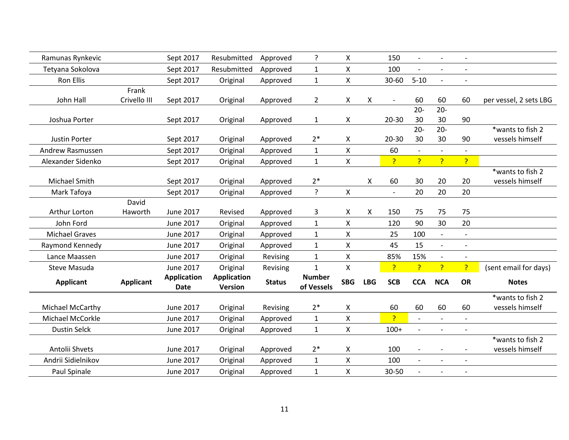| Ramunas Rynkevic        |                  | Sept 2017                         | Resubmitted                          | Approved      | ?                           | X                  |            | 150                      | $\blacksquare$           | $\overline{\phantom{a}}$ |                          |                        |
|-------------------------|------------------|-----------------------------------|--------------------------------------|---------------|-----------------------------|--------------------|------------|--------------------------|--------------------------|--------------------------|--------------------------|------------------------|
| Tetyana Sokolova        |                  | Sept 2017                         | Resubmitted                          | Approved      | $\mathbf{1}$                | $\pmb{\mathsf{X}}$ |            | 100                      |                          | $\overline{\phantom{a}}$ | $\overline{\phantom{0}}$ |                        |
| <b>Ron Ellis</b>        |                  | Sept 2017                         | Original                             | Approved      | $\mathbf{1}$                | X                  |            | $30 - 60$                | $5 - 10$                 | $\overline{a}$           |                          |                        |
|                         | Frank            |                                   |                                      |               |                             |                    |            |                          |                          |                          |                          |                        |
| John Hall               | Crivello III     | Sept 2017                         | Original                             | Approved      | $\mathbf{2}$                | X                  | X          | $\sim$                   | 60                       | 60                       | 60                       | per vessel, 2 sets LBG |
|                         |                  |                                   |                                      |               |                             |                    |            |                          | $20 -$                   | $20 -$                   |                          |                        |
| Joshua Porter           |                  | Sept 2017                         | Original                             | Approved      | 1                           | X                  |            | 20-30                    | 30                       | 30                       | 90                       |                        |
|                         |                  |                                   |                                      |               |                             |                    |            |                          | $20 -$                   | $20 -$                   |                          | *wants to fish 2       |
| Justin Porter           |                  | Sept 2017                         | Original                             | Approved      | $2*$                        | X                  |            | 20-30                    | 30                       | 30                       | 90                       | vessels himself        |
| Andrew Rasmussen        |                  | Sept 2017                         | Original                             | Approved      | $\mathbf{1}$                | X                  |            | 60                       |                          | $\overline{a}$           |                          |                        |
| Alexander Sidenko       |                  | Sept 2017                         | Original                             | Approved      | $\mathbf{1}$                | $\pmb{\mathsf{X}}$ |            | ?                        | ?                        | P                        | P                        |                        |
|                         |                  |                                   |                                      |               |                             |                    |            |                          |                          |                          |                          | *wants to fish 2       |
| Michael Smith           |                  | Sept 2017                         | Original                             | Approved      | $2*$                        |                    | X          | 60                       | 30                       | 20                       | 20                       | vessels himself        |
| Mark Tafoya             |                  | Sept 2017                         | Original                             | Approved      | ?                           | X                  |            | $\overline{\phantom{a}}$ | 20                       | 20                       | 20                       |                        |
|                         | David            |                                   |                                      |               |                             |                    |            |                          |                          |                          |                          |                        |
| Arthur Lorton           | Haworth          | <b>June 2017</b>                  | Revised                              | Approved      | 3                           | X                  | X          | 150                      | 75                       | 75                       | 75                       |                        |
| John Ford               |                  | <b>June 2017</b>                  | Original                             | Approved      | $\mathbf{1}$                | X                  |            | 120                      | 90                       | 30                       | 20                       |                        |
| <b>Michael Graves</b>   |                  | <b>June 2017</b>                  | Original                             | Approved      | $\mathbf{1}$                | $\pmb{\mathsf{X}}$ |            | 25                       | 100                      | $\overline{\phantom{a}}$ |                          |                        |
| Raymond Kennedy         |                  | <b>June 2017</b>                  | Original                             | Approved      | $\mathbf{1}$                | X                  |            | 45                       | 15                       | $\overline{\phantom{a}}$ |                          |                        |
| Lance Maassen           |                  | <b>June 2017</b>                  | Original                             | Revising      | $\mathbf{1}$                | $\pmb{\mathsf{X}}$ |            | 85%                      | 15%                      | $\overline{\phantom{a}}$ |                          |                        |
| Steve Masuda            |                  | June 2017                         | Original                             | Revising      | $\mathbf{1}$                | $\pmb{\mathsf{X}}$ |            | P                        | P                        | P                        | P                        | (sent email for days)  |
| <b>Applicant</b>        | <b>Applicant</b> | <b>Application</b><br><b>Date</b> | <b>Application</b><br><b>Version</b> | <b>Status</b> | <b>Number</b><br>of Vessels | <b>SBG</b>         | <b>LBG</b> | <b>SCB</b>               | <b>CCA</b>               | <b>NCA</b>               | <b>OR</b>                | <b>Notes</b>           |
|                         |                  |                                   |                                      |               |                             |                    |            |                          |                          |                          |                          | *wants to fish 2       |
| Michael McCarthy        |                  | <b>June 2017</b>                  | Original                             | Revising      | $2*$                        | $\pmb{\mathsf{X}}$ |            | 60                       | 60                       | 60                       | 60                       | vessels himself        |
| <b>Michael McCorkle</b> |                  | <b>June 2017</b>                  | Original                             | Approved      | $\mathbf 1$                 | X                  |            | P                        | $\overline{\phantom{a}}$ | $\overline{\phantom{a}}$ |                          |                        |
| <b>Dustin Selck</b>     |                  | <b>June 2017</b>                  | Original                             | Approved      | $\mathbf{1}$                | $\pmb{\mathsf{X}}$ |            | $100+$                   |                          | $\overline{a}$           | $\overline{a}$           |                        |
|                         |                  |                                   |                                      |               |                             |                    |            |                          |                          |                          |                          | *wants to fish 2       |
| Antolii Shvets          |                  | <b>June 2017</b>                  | Original                             | Approved      | $2*$                        | X                  |            | 100                      | $\overline{\phantom{a}}$ | $\overline{\phantom{a}}$ | $\overline{\phantom{a}}$ | vessels himself        |
| Andrii Sidielnikov      |                  | <b>June 2017</b>                  | Original                             | Approved      | $\mathbf{1}$                | $\pmb{\mathsf{X}}$ |            | 100                      |                          | $\overline{a}$           | $\overline{a}$           |                        |
| Paul Spinale            |                  | <b>June 2017</b>                  | Original                             | Approved      | 1                           | X                  |            | 30-50                    |                          | $\overline{a}$           | $\overline{a}$           |                        |